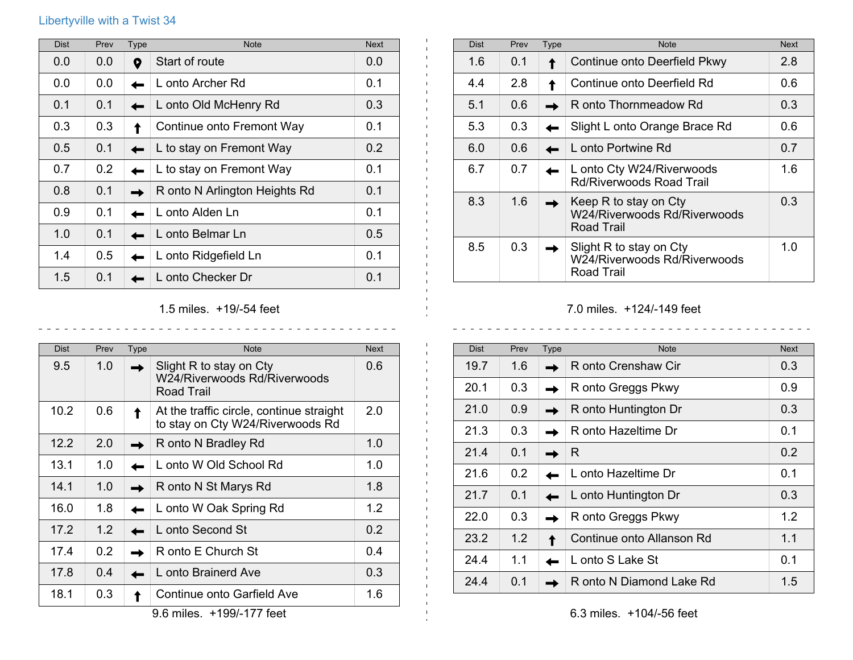## Libertyville with a Twist 34

| <b>Dist</b> | Prev | <b>Type</b> | <b>Note</b>                   | <b>Next</b> |
|-------------|------|-------------|-------------------------------|-------------|
| 0.0         | 0.0  | 0           | Start of route                | 0.0         |
| 0.0         | 0.0  |             | L onto Archer Rd              | 0.1         |
| 0.1         | 0.1  |             | L onto Old McHenry Rd         | 0.3         |
| 0.3         | 0.3  |             | Continue onto Fremont Way     | 0.1         |
| 0.5         | 0.1  |             | L to stay on Fremont Way      | 0.2         |
| 0.7         | 0.2  |             | L to stay on Fremont Way      | 0.1         |
| 0.8         | 0.1  |             | R onto N Arlington Heights Rd | 0.1         |
| 0.9         | 0.1  |             | L onto Alden Ln               | 0.1         |
| 1.0         | 0.1  |             | L onto Belmar Ln              | 0.5         |
| 1.4         | 0.5  |             | L onto Ridgefield Ln          | 0.1         |
| 1.5         | 0.1  |             | L onto Checker Dr             | 0.1         |

| <b>Dist</b> | Prev | <b>Type</b> | <b>Note</b>                                                                | <b>Next</b> |
|-------------|------|-------------|----------------------------------------------------------------------------|-------------|
| 1.6         | 0.1  |             | Continue onto Deerfield Pkwy                                               | 2.8         |
| 4.4         | 2.8  |             | Continue onto Deerfield Rd                                                 | 0.6         |
| 5.1         | 0.6  |             | R onto Thornmeadow Rd                                                      | 0.3         |
| 5.3         | 0.3  |             | Slight L onto Orange Brace Rd                                              | 0.6         |
| 6.0         | 0.6  |             | L onto Portwine Rd                                                         | 0.7         |
| 6.7         | 0.7  |             | L onto Cty W24/Riverwoods<br><b>Rd/Riverwoods Road Trail</b>               | 1.6         |
| 8.3         | 1.6  |             | Keep R to stay on Cty<br>W24/Riverwoods Rd/Riverwoods<br><b>Road Trail</b> | 0.3         |
| 8.5         | 0.3  |             | Slight R to stay on Cty<br>W24/Riverwoods Rd/Riverwoods<br>Road Trail      | 1.0         |

## 7.0 miles. +124/-149 feet

| <b>Dist</b> | Prev | <b>Type</b> | <b>Note</b>               | <b>Next</b> |
|-------------|------|-------------|---------------------------|-------------|
| 19.7        | 1.6  |             | R onto Crenshaw Cir       | 0.3         |
| 20.1        | 0.3  |             | R onto Greggs Pkwy        | 0.9         |
| 21.0        | 0.9  |             | R onto Huntington Dr      | 0.3         |
| 21.3        | 0.3  |             | R onto Hazeltime Dr       | 0.1         |
| 21.4        | 0.1  |             | R                         | 0.2         |
| 21.6        | 0.2  |             | L onto Hazeltime Dr       | 0.1         |
| 21.7        | 0.1  |             | L onto Huntington Dr      | 0.3         |
| 22.0        | 0.3  |             | R onto Greggs Pkwy        | 1.2         |
| 23.2        | 1.2  |             | Continue onto Allanson Rd | 1.1         |
| 24.4        | 1.1  |             | L onto S Lake St          | 0.1         |
| 24.4        | 0.1  |             | R onto N Diamond Lake Rd  | 1.5         |

1.5 miles. +19/-54 feet

<u>. . . . . . . . . . . .</u>

 $\frac{1}{2}$ 

| <b>Dist</b> | Prev | <b>Type</b> | <b>Note</b>                                                                  | <b>Next</b> |
|-------------|------|-------------|------------------------------------------------------------------------------|-------------|
| 9.5         | 1.0  |             | Slight R to stay on Cty<br>W24/Riverwoods Rd/Riverwoods<br><b>Road Trail</b> | 0.6         |
| 10.2        | 0.6  |             | At the traffic circle, continue straight<br>to stay on Cty W24/Riverwoods Rd | 2.0         |
| 12.2        | 2.0  |             | R onto N Bradley Rd                                                          | 1.0         |
| 13.1        | 1.0  |             | L onto W Old School Rd                                                       | 1.0         |
| 14.1        | 1.0  |             | R onto N St Marys Rd                                                         | 1.8         |
| 16.0        | 1.8  |             | L onto W Oak Spring Rd                                                       | 1.2         |
| 17.2        | 1.2  |             | L onto Second St                                                             | 0.2         |
| 17.4        | 0.2  |             | R onto E Church St                                                           | 0.4         |
| 17.8        | 0.4  |             | L onto Brainerd Ave                                                          | 0.3         |
| 18.1        | 0.3  |             | Continue onto Garfield Ave                                                   | 1.6         |

9.6 miles. +199/-177 feet